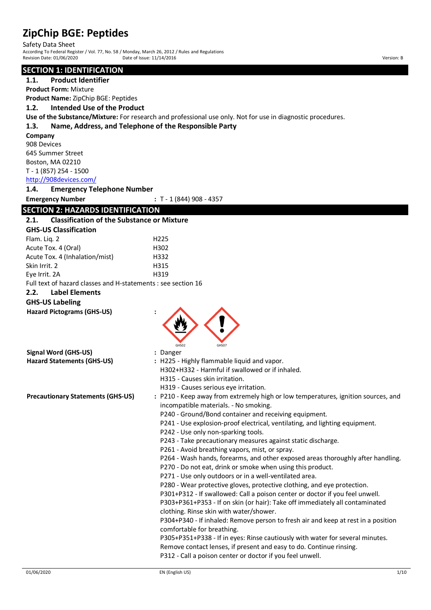Safety Data Sheet According To Federal Register / Vol. 77, No. 58 / Monday, March 26, 2012 / Rules and Regulations

Revision Date: 01/06/2020 Date of Issue: 11/14/2016 Date of Issue: 11/14/2016 Version: B

## **SECTION 1: IDENTIFICATION**

**1.1. Product Identifier**

**Product Form:** Mixture

**Product Name:** ZipChip BGE: Peptides

#### **1.2. Intended Use of the Product**

**Use of the Substance/Mixture:** For research and professional use only. Not for use in diagnostic procedures.

#### **1.3. Name, Address, and Telephone of the Responsible Party**

**Company**

908 Devices 645 Summer Street Boston, MA 02210 T - 1 (857) 254 - 1500

<http://908devices.com/>

**1.4. Emergency Telephone Number**

**Emergency Number :** T - 1 (844) 908 - 4357

## **SECTION 2: HAZARDS IDENTIFICATION**

| <b>Classification of the Substance or Mixture</b><br>2.1.<br><b>GHS-US Classification</b><br>Flam. Liq. 2<br>H225<br>Acute Tox. 4 (Oral)<br>H302<br>Acute Tox. 4 (Inhalation/mist)<br>H332<br>Skin Irrit. 2<br>H315<br>H319<br>Eye Irrit. 2A<br>Full text of hazard classes and H-statements : see section 16<br>2.2.<br><b>Label Elements</b><br><b>GHS-US Labeling</b><br><b>Hazard Pictograms (GHS-US)</b><br>GHS07<br><b>Signal Word (GHS-US)</b><br>: Danger<br><b>Hazard Statements (GHS-US)</b><br>: H225 - Highly flammable liquid and vapor.<br>H302+H332 - Harmful if swallowed or if inhaled.<br>H315 - Causes skin irritation.<br>H319 - Causes serious eye irritation.<br>: P210 - Keep away from extremely high or low temperatures, ignition sources, and<br><b>Precautionary Statements (GHS-US)</b><br>incompatible materials. - No smoking.<br>P240 - Ground/Bond container and receiving equipment.<br>P241 - Use explosion-proof electrical, ventilating, and lighting equipment. |
|-------------------------------------------------------------------------------------------------------------------------------------------------------------------------------------------------------------------------------------------------------------------------------------------------------------------------------------------------------------------------------------------------------------------------------------------------------------------------------------------------------------------------------------------------------------------------------------------------------------------------------------------------------------------------------------------------------------------------------------------------------------------------------------------------------------------------------------------------------------------------------------------------------------------------------------------------------------------------------------------------------|
|                                                                                                                                                                                                                                                                                                                                                                                                                                                                                                                                                                                                                                                                                                                                                                                                                                                                                                                                                                                                       |
|                                                                                                                                                                                                                                                                                                                                                                                                                                                                                                                                                                                                                                                                                                                                                                                                                                                                                                                                                                                                       |
|                                                                                                                                                                                                                                                                                                                                                                                                                                                                                                                                                                                                                                                                                                                                                                                                                                                                                                                                                                                                       |
|                                                                                                                                                                                                                                                                                                                                                                                                                                                                                                                                                                                                                                                                                                                                                                                                                                                                                                                                                                                                       |
|                                                                                                                                                                                                                                                                                                                                                                                                                                                                                                                                                                                                                                                                                                                                                                                                                                                                                                                                                                                                       |
|                                                                                                                                                                                                                                                                                                                                                                                                                                                                                                                                                                                                                                                                                                                                                                                                                                                                                                                                                                                                       |
|                                                                                                                                                                                                                                                                                                                                                                                                                                                                                                                                                                                                                                                                                                                                                                                                                                                                                                                                                                                                       |
|                                                                                                                                                                                                                                                                                                                                                                                                                                                                                                                                                                                                                                                                                                                                                                                                                                                                                                                                                                                                       |
|                                                                                                                                                                                                                                                                                                                                                                                                                                                                                                                                                                                                                                                                                                                                                                                                                                                                                                                                                                                                       |
|                                                                                                                                                                                                                                                                                                                                                                                                                                                                                                                                                                                                                                                                                                                                                                                                                                                                                                                                                                                                       |
|                                                                                                                                                                                                                                                                                                                                                                                                                                                                                                                                                                                                                                                                                                                                                                                                                                                                                                                                                                                                       |
|                                                                                                                                                                                                                                                                                                                                                                                                                                                                                                                                                                                                                                                                                                                                                                                                                                                                                                                                                                                                       |
|                                                                                                                                                                                                                                                                                                                                                                                                                                                                                                                                                                                                                                                                                                                                                                                                                                                                                                                                                                                                       |
|                                                                                                                                                                                                                                                                                                                                                                                                                                                                                                                                                                                                                                                                                                                                                                                                                                                                                                                                                                                                       |
|                                                                                                                                                                                                                                                                                                                                                                                                                                                                                                                                                                                                                                                                                                                                                                                                                                                                                                                                                                                                       |
|                                                                                                                                                                                                                                                                                                                                                                                                                                                                                                                                                                                                                                                                                                                                                                                                                                                                                                                                                                                                       |
|                                                                                                                                                                                                                                                                                                                                                                                                                                                                                                                                                                                                                                                                                                                                                                                                                                                                                                                                                                                                       |
| P242 - Use only non-sparking tools.                                                                                                                                                                                                                                                                                                                                                                                                                                                                                                                                                                                                                                                                                                                                                                                                                                                                                                                                                                   |
| P243 - Take precautionary measures against static discharge.                                                                                                                                                                                                                                                                                                                                                                                                                                                                                                                                                                                                                                                                                                                                                                                                                                                                                                                                          |
| P261 - Avoid breathing vapors, mist, or spray.                                                                                                                                                                                                                                                                                                                                                                                                                                                                                                                                                                                                                                                                                                                                                                                                                                                                                                                                                        |
| P264 - Wash hands, forearms, and other exposed areas thoroughly after handling.                                                                                                                                                                                                                                                                                                                                                                                                                                                                                                                                                                                                                                                                                                                                                                                                                                                                                                                       |
| P270 - Do not eat, drink or smoke when using this product.                                                                                                                                                                                                                                                                                                                                                                                                                                                                                                                                                                                                                                                                                                                                                                                                                                                                                                                                            |
| P271 - Use only outdoors or in a well-ventilated area.                                                                                                                                                                                                                                                                                                                                                                                                                                                                                                                                                                                                                                                                                                                                                                                                                                                                                                                                                |
| P280 - Wear protective gloves, protective clothing, and eye protection.                                                                                                                                                                                                                                                                                                                                                                                                                                                                                                                                                                                                                                                                                                                                                                                                                                                                                                                               |
| P301+P312 - If swallowed: Call a poison center or doctor if you feel unwell.                                                                                                                                                                                                                                                                                                                                                                                                                                                                                                                                                                                                                                                                                                                                                                                                                                                                                                                          |
| P303+P361+P353 - If on skin (or hair): Take off immediately all contaminated                                                                                                                                                                                                                                                                                                                                                                                                                                                                                                                                                                                                                                                                                                                                                                                                                                                                                                                          |
| clothing. Rinse skin with water/shower.                                                                                                                                                                                                                                                                                                                                                                                                                                                                                                                                                                                                                                                                                                                                                                                                                                                                                                                                                               |
| P304+P340 - If inhaled: Remove person to fresh air and keep at rest in a position                                                                                                                                                                                                                                                                                                                                                                                                                                                                                                                                                                                                                                                                                                                                                                                                                                                                                                                     |
| comfortable for breathing.                                                                                                                                                                                                                                                                                                                                                                                                                                                                                                                                                                                                                                                                                                                                                                                                                                                                                                                                                                            |
| P305+P351+P338 - If in eyes: Rinse cautiously with water for several minutes.                                                                                                                                                                                                                                                                                                                                                                                                                                                                                                                                                                                                                                                                                                                                                                                                                                                                                                                         |
| Remove contact lenses, if present and easy to do. Continue rinsing.                                                                                                                                                                                                                                                                                                                                                                                                                                                                                                                                                                                                                                                                                                                                                                                                                                                                                                                                   |
| P312 - Call a poison center or doctor if you feel unwell.                                                                                                                                                                                                                                                                                                                                                                                                                                                                                                                                                                                                                                                                                                                                                                                                                                                                                                                                             |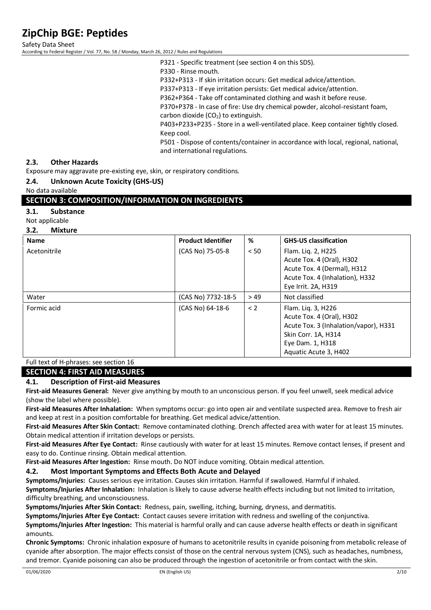Safety Data Sheet

According to Federal Register / Vol. 77, No. 58 / Monday, March 26, 2012 / Rules and Regulations

P321 - Specific treatment (see section 4 on this SDS).

P330 - Rinse mouth.

P332+P313 - If skin irritation occurs: Get medical advice/attention.

P337+P313 - If eye irritation persists: Get medical advice/attention.

P362+P364 - Take off contaminated clothing and wash it before reuse.

P370+P378 - In case of fire: Use dry chemical powder, alcohol-resistant foam, carbon dioxide  $(CO<sub>2</sub>)$  to extinguish.

P403+P233+P235 - Store in a well-ventilated place. Keep container tightly closed. Keep cool.

P501 - Dispose of contents/container in accordance with local, regional, national, and international regulations.

#### **2.3. Other Hazards**

Exposure may aggravate pre-existing eye, skin, or respiratory conditions.

#### **2.4. Unknown Acute Toxicity (GHS-US)**

No data available

#### **SECTION 3: COMPOSITION/INFORMATION ON INGREDIENTS**

#### **3.1. Substance**

Not applicable

#### **3.2. Mixture**

| <b>Name</b>  | <b>Product Identifier</b> | %    | <b>GHS-US classification</b>                                                                                                                                 |
|--------------|---------------------------|------|--------------------------------------------------------------------------------------------------------------------------------------------------------------|
| Acetonitrile | (CAS No) 75-05-8          | < 50 | Flam. Lig. 2, H225<br>Acute Tox. 4 (Oral), H302<br>Acute Tox. 4 (Dermal), H312<br>Acute Tox. 4 (Inhalation), H332                                            |
|              |                           |      | Eye Irrit. 2A, H319                                                                                                                                          |
| Water        | (CAS No) 7732-18-5        | >49  | Not classified                                                                                                                                               |
| Formic acid  | (CAS No) 64-18-6          | < 2  | Flam. Lig. 3, H226<br>Acute Tox. 4 (Oral), H302<br>Acute Tox. 3 (Inhalation/vapor), H331<br>Skin Corr. 1A, H314<br>Eye Dam. 1, H318<br>Aquatic Acute 3, H402 |

#### Full text of H-phrases: see section 16

**SECTION 4: FIRST AID MEASURES**

#### **4.1. Description of First-aid Measures**

**First-aid Measures General:** Never give anything by mouth to an unconscious person. If you feel unwell, seek medical advice (show the label where possible).

**First-aid Measures After Inhalation:** When symptoms occur: go into open air and ventilate suspected area. Remove to fresh air and keep at rest in a position comfortable for breathing. Get medical advice/attention.

**First-aid Measures After Skin Contact:** Remove contaminated clothing. Drench affected area with water for at least 15 minutes. Obtain medical attention if irritation develops or persists.

**First-aid Measures After Eye Contact:** Rinse cautiously with water for at least 15 minutes. Remove contact lenses, if present and easy to do. Continue rinsing. Obtain medical attention.

**First-aid Measures After Ingestion:** Rinse mouth. Do NOT induce vomiting. Obtain medical attention.

#### **4.2. Most Important Symptoms and Effects Both Acute and Delayed**

**Symptoms/Injuries:** Causes serious eye irritation. Causes skin irritation. Harmful if swallowed. Harmful if inhaled.

**Symptoms/Injuries After Inhalation:** Inhalation is likely to cause adverse health effects including but not limited to irritation, difficulty breathing, and unconsciousness.

**Symptoms/Injuries After Skin Contact:** Redness, pain, swelling, itching, burning, dryness, and dermatitis.

**Symptoms/Injuries After Eye Contact:** Contact causes severe irritation with redness and swelling of the conjunctiva.

**Symptoms/Injuries After Ingestion:** This material is harmful orally and can cause adverse health effects or death in significant amounts.

**Chronic Symptoms:** Chronic inhalation exposure of humans to acetonitrile results in cyanide poisoning from metabolic release of cyanide after absorption. The major effects consist of those on the central nervous system (CNS), such as headaches, numbness, and tremor. Cyanide poisoning can also be produced through the ingestion of acetonitrile or from contact with the skin.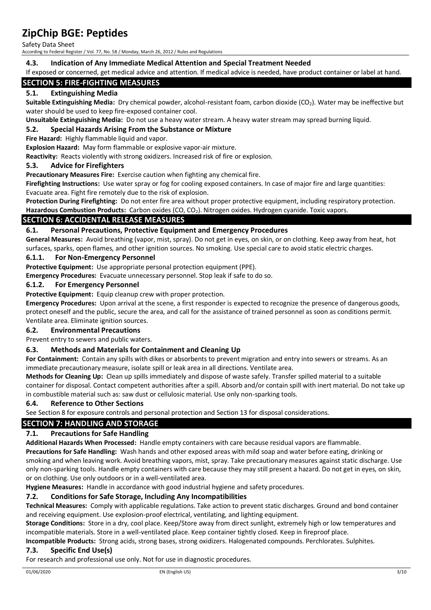Safety Data Sheet

According to Federal Register / Vol. 77, No. 58 / Monday, March 26, 2012 / Rules and Regulations

#### **4.3. Indication of Any Immediate Medical Attention and Special Treatment Needed**

If exposed or concerned, get medical advice and attention. If medical advice is needed, have product container or label at hand.

#### **SECTION 5: FIRE-FIGHTING MEASURES**

#### **5.1. Extinguishing Media**

**Suitable Extinguishing Media:** Dry chemical powder, alcohol-resistant foam, carbon dioxide (CO2). Water may be ineffective but water should be used to keep fire-exposed container cool.

**Unsuitable Extinguishing Media:** Do not use a heavy water stream. A heavy water stream may spread burning liquid.

#### **5.2. Special Hazards Arising From the Substance or Mixture**

**Fire Hazard:** Highly flammable liquid and vapor.

**Explosion Hazard:** May form flammable or explosive vapor-air mixture.

**Reactivity:** Reacts violently with strong oxidizers. Increased risk of fire or explosion.

#### **5.3. Advice for Firefighters**

**Precautionary Measures Fire:** Exercise caution when fighting any chemical fire.

**Firefighting Instructions:** Use water spray or fog for cooling exposed containers. In case of major fire and large quantities: Evacuate area. Fight fire remotely due to the risk of explosion.

**Protection During Firefighting:** Do not enter fire area without proper protective equipment, including respiratory protection. **Hazardous Combustion Products:** Carbon oxides (CO, CO2). Nitrogen oxides. Hydrogen cyanide. Toxic vapors.

#### **SECTION 6: ACCIDENTAL RELEASE MEASURES**

#### **6.1. Personal Precautions, Protective Equipment and Emergency Procedures**

**General Measures:** Avoid breathing (vapor, mist, spray). Do not get in eyes, on skin, or on clothing. Keep away from heat, hot surfaces, sparks, open flames, and other ignition sources. No smoking. Use special care to avoid static electric charges.

#### **6.1.1. For Non-Emergency Personnel**

**Protective Equipment:** Use appropriate personal protection equipment (PPE).

**Emergency Procedures:** Evacuate unnecessary personnel. Stop leak if safe to do so.

#### **6.1.2. For Emergency Personnel**

**Protective Equipment:** Equip cleanup crew with proper protection.

**Emergency Procedures:** Upon arrival at the scene, a first responder is expected to recognize the presence of dangerous goods, protect oneself and the public, secure the area, and call for the assistance of trained personnel as soon as conditions permit. Ventilate area. Eliminate ignition sources.

#### **6.2. Environmental Precautions**

Prevent entry to sewers and public waters.

#### **6.3. Methods and Materials for Containment and Cleaning Up**

**For Containment:** Contain any spills with dikes or absorbents to prevent migration and entry into sewers or streams. As an immediate precautionary measure, isolate spill or leak area in all directions. Ventilate area.

**Methods for Cleaning Up:** Clean up spills immediately and dispose of waste safely. Transfer spilled material to a suitable container for disposal. Contact competent authorities after a spill. Absorb and/or contain spill with inert material. Do not take up in combustible material such as: saw dust or cellulosic material. Use only non-sparking tools.

#### **6.4. Reference to Other Sections**

See Section 8 for exposure controls and personal protection and Section 13 for disposal considerations.

## **SECTION 7: HANDLING AND STORAGE**

#### **7.1. Precautions for Safe Handling**

**Additional Hazards When Processed:** Handle empty containers with care because residual vapors are flammable. **Precautions for Safe Handling:** Wash hands and other exposed areas with mild soap and water before eating, drinking or smoking and when leaving work. Avoid breathing vapors, mist, spray. Take precautionary measures against static discharge. Use only non-sparking tools. Handle empty containers with care because they may still present a hazard. Do not get in eyes, on skin, or on clothing. Use only outdoors or in a well-ventilated area.

**Hygiene Measures:** Handle in accordance with good industrial hygiene and safety procedures.

#### **7.2. Conditions for Safe Storage, Including Any Incompatibilities**

**Technical Measures:** Comply with applicable regulations. Take action to prevent static discharges. Ground and bond container and receiving equipment. Use explosion-proof electrical, ventilating, and lighting equipment.

**Storage Conditions:** Store in a dry, cool place. Keep/Store away from direct sunlight, extremely high or low temperatures and incompatible materials. Store in a well-ventilated place. Keep container tightly closed. Keep in fireproof place.

**Incompatible Products:** Strong acids, strong bases, strong oxidizers. Halogenated compounds. Perchlorates. Sulphites.

#### **7.3. Specific End Use(s)**

For research and professional use only. Not for use in diagnostic procedures.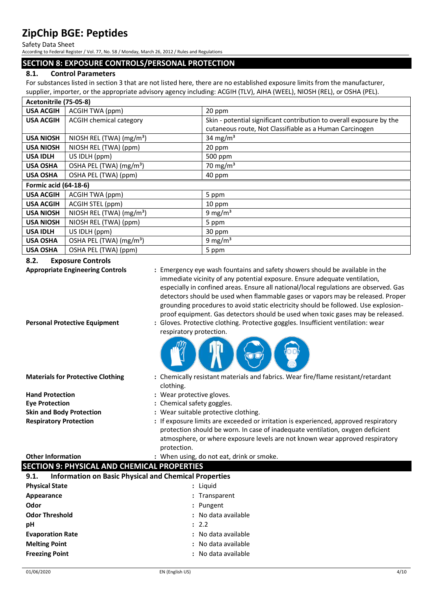Safety Data Sheet

According to Federal Register / Vol. 77, No. 58 / Monday, March 26, 2012 / Rules and Regulations

## **SECTION 8: EXPOSURE CONTROLS/PERSONAL PROTECTION**

## **8.1. Control Parameters**

For substances listed in section 3 that are not listed here, there are no established exposure limits from the manufacturer, supplier, importer, or the appropriate advisory agency including: ACGIH (TLV), AIHA (WEEL), NIOSH (REL), or OSHA (PEL).

| Acetonitrile (75-05-8)       |                                      |                                                                      |
|------------------------------|--------------------------------------|----------------------------------------------------------------------|
| <b>USA ACGIH</b>             | ACGIH TWA (ppm)                      | 20 ppm                                                               |
| <b>USA ACGIH</b>             | <b>ACGIH chemical category</b>       | Skin - potential significant contribution to overall exposure by the |
|                              |                                      | cutaneous route, Not Classifiable as a Human Carcinogen              |
| <b>USA NIOSH</b>             | NIOSH REL (TWA) $(mg/m3)$            | 34 mg/m <sup>3</sup>                                                 |
| <b>USA NIOSH</b>             | NIOSH REL (TWA) (ppm)                | 20 ppm                                                               |
| <b>USA IDLH</b>              | US IDLH (ppm)                        | 500 ppm                                                              |
| <b>USA OSHA</b>              | OSHA PEL (TWA) (mg/m <sup>3</sup> )  | 70 mg/m $3$                                                          |
| <b>USA OSHA</b>              | OSHA PEL (TWA) (ppm)                 | 40 ppm                                                               |
| <b>Formic acid (64-18-6)</b> |                                      |                                                                      |
| <b>USA ACGIH</b>             | ACGIH TWA (ppm)                      | 5 ppm                                                                |
| <b>USA ACGIH</b>             | ACGIH STEL (ppm)                     | 10 ppm                                                               |
| <b>USA NIOSH</b>             | NIOSH REL (TWA) (mg/m <sup>3</sup> ) | 9 mg/m <sup>3</sup>                                                  |
| <b>USA NIOSH</b>             | NIOSH REL (TWA) (ppm)                | 5 ppm                                                                |
| <b>USA IDLH</b>              | US IDLH (ppm)                        | 30 ppm                                                               |
| <b>USA OSHA</b>              | OSHA PEL (TWA) (mg/m <sup>3</sup> )  | 9 mg/m <sup>3</sup>                                                  |
| <b>USA OSHA</b>              | OSHA PEL (TWA) (ppm)                 | 5 ppm                                                                |

### **8.2. Exposure Controls**

| δ.Ζ.<br><b>EXPOSURE CONTROIS</b>                                     |                                                                                                                                                                                                                                                                                                                                                                                                                                                                                                                  |
|----------------------------------------------------------------------|------------------------------------------------------------------------------------------------------------------------------------------------------------------------------------------------------------------------------------------------------------------------------------------------------------------------------------------------------------------------------------------------------------------------------------------------------------------------------------------------------------------|
| <b>Appropriate Engineering Controls</b>                              | : Emergency eye wash fountains and safety showers should be available in the<br>immediate vicinity of any potential exposure. Ensure adequate ventilation,<br>especially in confined areas. Ensure all national/local regulations are observed. Gas<br>detectors should be used when flammable gases or vapors may be released. Proper<br>grounding procedures to avoid static electricity should be followed. Use explosion-<br>proof equipment. Gas detectors should be used when toxic gases may be released. |
| <b>Personal Protective Equipment</b>                                 | : Gloves. Protective clothing. Protective goggles. Insufficient ventilation: wear<br>respiratory protection.                                                                                                                                                                                                                                                                                                                                                                                                     |
| <b>Materials for Protective Clothing</b>                             | : Chemically resistant materials and fabrics. Wear fire/flame resistant/retardant<br>clothing.                                                                                                                                                                                                                                                                                                                                                                                                                   |
| <b>Hand Protection</b>                                               | : Wear protective gloves.                                                                                                                                                                                                                                                                                                                                                                                                                                                                                        |
| <b>Eye Protection</b>                                                | : Chemical safety goggles.                                                                                                                                                                                                                                                                                                                                                                                                                                                                                       |
| <b>Skin and Body Protection</b>                                      | : Wear suitable protective clothing.                                                                                                                                                                                                                                                                                                                                                                                                                                                                             |
| <b>Respiratory Protection</b>                                        | : If exposure limits are exceeded or irritation is experienced, approved respiratory<br>protection should be worn. In case of inadequate ventilation, oxygen deficient<br>atmosphere, or where exposure levels are not known wear approved respiratory<br>protection.                                                                                                                                                                                                                                            |
| <b>Other Information</b>                                             | : When using, do not eat, drink or smoke.                                                                                                                                                                                                                                                                                                                                                                                                                                                                        |
| <b>SECTION 9: PHYSICAL AND CHEMICAL PROPERTIES</b>                   |                                                                                                                                                                                                                                                                                                                                                                                                                                                                                                                  |
| <b>Information on Basic Physical and Chemical Properties</b><br>9.1. |                                                                                                                                                                                                                                                                                                                                                                                                                                                                                                                  |
| <b>Physical State</b>                                                | : Liquid                                                                                                                                                                                                                                                                                                                                                                                                                                                                                                         |
|                                                                      |                                                                                                                                                                                                                                                                                                                                                                                                                                                                                                                  |

| <b>Physical State</b>   | : Liguid            |  |
|-------------------------|---------------------|--|
| Appearance              | : Transparent       |  |
| Odor                    | : Pungent           |  |
| <b>Odor Threshold</b>   | : No data available |  |
| pH                      | : 2.2               |  |
| <b>Evaporation Rate</b> | : No data available |  |
| <b>Melting Point</b>    | : No data available |  |
| <b>Freezing Point</b>   | : No data available |  |
|                         |                     |  |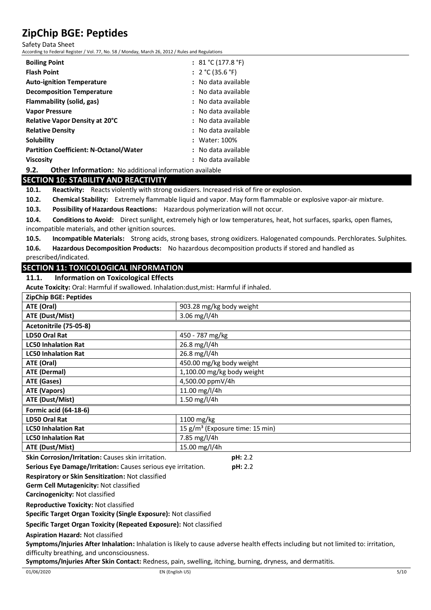Safety Data Sheet

According to Federal Register / Vol. 77, No. 58 / Monday, March 26, 2012 / Rules and Regulations

| <b>Boiling Point</b>                          | : $81 °C (177.8 °F)$ |
|-----------------------------------------------|----------------------|
| <b>Flash Point</b>                            | : $2 °C (35.6 °F)$   |
| <b>Auto-ignition Temperature</b>              | : No data available  |
| <b>Decomposition Temperature</b>              | : No data available  |
| Flammability (solid, gas)                     | : No data available  |
| <b>Vapor Pressure</b>                         | : No data available  |
| <b>Relative Vapor Density at 20°C</b>         | : No data available  |
| <b>Relative Density</b>                       | : No data available  |
| Solubility                                    | : Water: 100%        |
| <b>Partition Coefficient: N-Octanol/Water</b> | : No data available  |
| <b>Viscosity</b>                              | : No data available  |
|                                               |                      |

## **9.2. Other Information:** No additional information available

#### **SECTION 10: STABILITY AND REACTIVITY**

**10.1. Reactivity:** Reacts violently with strong oxidizers. Increased risk of fire or explosion.

**10.2. Chemical Stability:** Extremely flammable liquid and vapor. May form flammable or explosive vapor-air mixture.

**10.3. Possibility of Hazardous Reactions:** Hazardous polymerization will not occur.

**10.4. Conditions to Avoid:** Direct sunlight, extremely high or low temperatures, heat, hot surfaces, sparks, open flames, incompatible materials, and other ignition sources.

**10.5. Incompatible Materials:** Strong acids, strong bases, strong oxidizers. Halogenated compounds. Perchlorates. Sulphites.

**10.6. Hazardous Decomposition Products:** No hazardous decomposition products if stored and handled as

prescribed/indicated.

## **SECTION 11: TOXICOLOGICAL INFORMATION**

**11.1. Information on Toxicological Effects**

**Acute Toxicity:** Oral: Harmful if swallowed. Inhalation:dust,mist: Harmful if inhaled.

| <b>ZipChip BGE: Peptides</b> |                                             |
|------------------------------|---------------------------------------------|
| ATE (Oral)                   | 903.28 mg/kg body weight                    |
| ATE (Dust/Mist)              | 3.06 mg/l/4h                                |
| Acetonitrile (75-05-8)       |                                             |
| <b>LD50 Oral Rat</b>         | 450 - 787 mg/kg                             |
| <b>LC50 Inhalation Rat</b>   | 26.8 mg/l/4h                                |
| <b>LC50 Inhalation Rat</b>   | 26.8 mg/l/4h                                |
| ATE (Oral)                   | 450.00 mg/kg body weight                    |
| <b>ATE (Dermal)</b>          | 1,100.00 mg/kg body weight                  |
| ATE (Gases)                  | 4,500.00 ppmV/4h                            |
| ATE (Vapors)                 | 11.00 mg/l/4h                               |
| ATE (Dust/Mist)              | 1.50 mg/l/4h                                |
| <b>Formic acid (64-18-6)</b> |                                             |
| LD50 Oral Rat                | 1100 mg/kg                                  |
| <b>LC50 Inhalation Rat</b>   | 15 g/m <sup>3</sup> (Exposure time: 15 min) |
| <b>LC50 Inhalation Rat</b>   | 7.85 mg/l/4h                                |
| ATE (Dust/Mist)              | 15.00 mg/l/4h                               |

**Skin Corrosion/Irritation:** Causes skin irritation. **pH:** 2.2

**Serious Eye Damage/Irritation:** Causes serious eye irritation. **pH:** 2.2

**Respiratory or Skin Sensitization:** Not classified

**Germ Cell Mutagenicity:** Not classified

**Carcinogenicity:** Not classified

**Reproductive Toxicity:** Not classified

**Specific Target Organ Toxicity (Single Exposure):** Not classified

**Specific Target Organ Toxicity (Repeated Exposure):** Not classified

**Aspiration Hazard:** Not classified

**Symptoms/Injuries After Inhalation:** Inhalation is likely to cause adverse health effects including but not limited to: irritation, difficulty breathing, and unconsciousness.

**Symptoms/Injuries After Skin Contact:** Redness, pain, swelling, itching, burning, dryness, and dermatitis.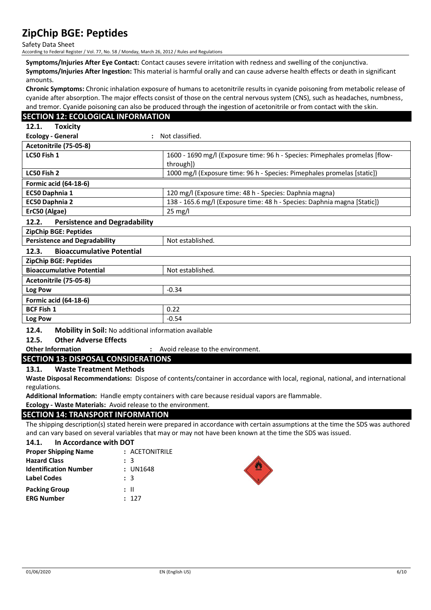Safety Data Sheet

According to Federal Register / Vol. 77, No. 58 / Monday, March 26, 2012 / Rules and Regulations

**Symptoms/Injuries After Eye Contact:** Contact causes severe irritation with redness and swelling of the conjunctiva. **Symptoms/Injuries After Ingestion:** This material is harmful orally and can cause adverse health effects or death in significant amounts.

**Chronic Symptoms:** Chronic inhalation exposure of humans to acetonitrile results in cyanide poisoning from metabolic release of cyanide after absorption. The major effects consist of those on the central nervous system (CNS), such as headaches, numbness, and tremor. Cyanide poisoning can also be produced through the ingestion of acetonitrile or from contact with the skin.

| <b>SECTION 12: ECOLOGICAL INFORMATION</b>                                                                                                                                                                                                                                                                           |                                                                             |
|---------------------------------------------------------------------------------------------------------------------------------------------------------------------------------------------------------------------------------------------------------------------------------------------------------------------|-----------------------------------------------------------------------------|
| 12.1.<br><b>Toxicity</b>                                                                                                                                                                                                                                                                                            |                                                                             |
| <b>Ecology - General</b><br>$\bullet$                                                                                                                                                                                                                                                                               | Not classified.                                                             |
| Acetonitrile (75-05-8)                                                                                                                                                                                                                                                                                              |                                                                             |
| LC50 Fish 1                                                                                                                                                                                                                                                                                                         | 1600 - 1690 mg/l (Exposure time: 96 h - Species: Pimephales promelas [flow- |
|                                                                                                                                                                                                                                                                                                                     | through])                                                                   |
| LC50 Fish 2                                                                                                                                                                                                                                                                                                         | 1000 mg/l (Exposure time: 96 h - Species: Pimephales promelas [static])     |
| <b>Formic acid (64-18-6)</b>                                                                                                                                                                                                                                                                                        |                                                                             |
| EC50 Daphnia 1                                                                                                                                                                                                                                                                                                      | 120 mg/l (Exposure time: 48 h - Species: Daphnia magna)                     |
| EC50 Daphnia 2                                                                                                                                                                                                                                                                                                      | 138 - 165.6 mg/l (Exposure time: 48 h - Species: Daphnia magna [Static])    |
| ErC50 (Algae)                                                                                                                                                                                                                                                                                                       | 25 mg/l                                                                     |
| 12.2.<br><b>Persistence and Degradability</b>                                                                                                                                                                                                                                                                       |                                                                             |
| ZipChip BGE: Peptides                                                                                                                                                                                                                                                                                               |                                                                             |
| <b>Persistence and Degradability</b>                                                                                                                                                                                                                                                                                | Not established.                                                            |
| <b>Bioaccumulative Potential</b><br>12.3.                                                                                                                                                                                                                                                                           |                                                                             |
| <b>ZipChip BGE: Peptides</b>                                                                                                                                                                                                                                                                                        |                                                                             |
| <b>Bioaccumulative Potential</b>                                                                                                                                                                                                                                                                                    | Not established.                                                            |
| Acetonitrile (75-05-8)                                                                                                                                                                                                                                                                                              |                                                                             |
| Log Pow                                                                                                                                                                                                                                                                                                             | $-0.34$                                                                     |
| <b>Formic acid (64-18-6)</b>                                                                                                                                                                                                                                                                                        |                                                                             |
| <b>BCF Fish 1</b>                                                                                                                                                                                                                                                                                                   | 0.22                                                                        |
| Log Pow                                                                                                                                                                                                                                                                                                             | $-0.54$                                                                     |
| $\frac{1}{2}$ $\frac{1}{2}$ $\frac{1}{2}$ $\frac{1}{2}$ $\frac{1}{2}$ $\frac{1}{2}$ $\frac{1}{2}$ $\frac{1}{2}$ $\frac{1}{2}$ $\frac{1}{2}$ $\frac{1}{2}$ $\frac{1}{2}$ $\frac{1}{2}$ $\frac{1}{2}$ $\frac{1}{2}$ $\frac{1}{2}$ $\frac{1}{2}$ $\frac{1}{2}$ $\frac{1}{2}$ $\frac{1}{2}$ $\frac{1}{2}$ $\frac{1}{2}$ | $\cdots$                                                                    |

#### **12.4. Mobility in Soil:** No additional information available

#### **12.5. Other Adverse Effects**

**Other Information :** Avoid release to the environment.

#### **SECTION 13: DISPOSAL CONSIDERATIONS**

#### **13.1. Waste Treatment Methods**

**Waste Disposal Recommendations:** Dispose of contents/container in accordance with local, regional, national, and international regulations.

**Additional Information:** Handle empty containers with care because residual vapors are flammable.

**Ecology - Waste Materials:** Avoid release to the environment.

#### **SECTION 14: TRANSPORT INFORMATION**

The shipping description(s) stated herein were prepared in accordance with certain assumptions at the time the SDS was authored and can vary based on several variables that may or may not have been known at the time the SDS was issued.

#### **14.1. In Accordance with DOT**

| <b>Proper Shipping Name</b>  | : ACETONITRILE |
|------------------------------|----------------|
| <b>Hazard Class</b>          | : 3            |
| <b>Identification Number</b> | : UN1648       |
| <b>Label Codes</b>           | : 3            |
| <b>Packing Group</b>         | : II           |
| <b>ERG Number</b>            | : 127          |

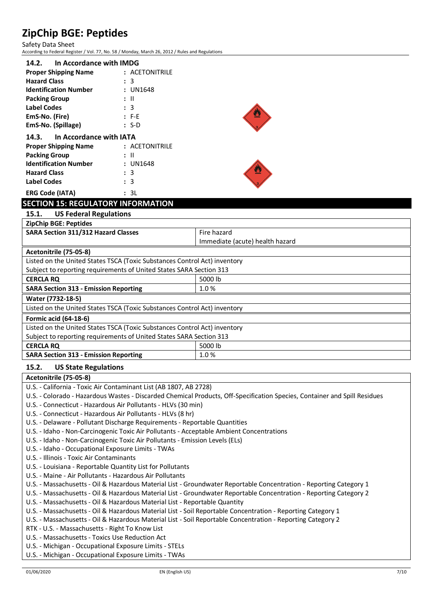Safety Data Sheet According to Federal Register / Vol. 77, No. 58 / Monday, March 26, 2012 / Rules and Regulations

| In Accordance with IMDG       |  |  |
|-------------------------------|--|--|
| : ACETONITRILE                |  |  |
| : 3                           |  |  |
| : UN1648                      |  |  |
| : II                          |  |  |
| $\colon$ 3                    |  |  |
| $: F-E$                       |  |  |
| $: S-D$                       |  |  |
| 14.3. In Accordance with IATA |  |  |
| : ACETONITRILE                |  |  |
| : II                          |  |  |
| : UN1648                      |  |  |
| : 3                           |  |  |
| : 3                           |  |  |
|                               |  |  |



## **SECTION 15: REGULATORY INFORMATION**

**15.1. US Federal Regulations**

**ERG Code (IATA) :** 3L

| <b>ZipChip BGE: Peptides</b>                                              |                                 |  |
|---------------------------------------------------------------------------|---------------------------------|--|
| <b>SARA Section 311/312 Hazard Classes</b>                                | Fire hazard                     |  |
|                                                                           | Immediate (acute) health hazard |  |
| Acetonitrile (75-05-8)                                                    |                                 |  |
| Listed on the United States TSCA (Toxic Substances Control Act) inventory |                                 |  |
| Subject to reporting requirements of United States SARA Section 313       |                                 |  |
| <b>CERCLA RO</b>                                                          | 5000 lb                         |  |
| <b>SARA Section 313 - Emission Reporting</b>                              | 1.0%                            |  |
| Water (7732-18-5)                                                         |                                 |  |
| Listed on the United States TSCA (Toxic Substances Control Act) inventory |                                 |  |
| <b>Formic acid (64-18-6)</b>                                              |                                 |  |
| Listed on the United States TSCA (Toxic Substances Control Act) inventory |                                 |  |
| Subject to reporting requirements of United States SARA Section 313       |                                 |  |
| <b>CERCLA RQ</b>                                                          | 5000 lb                         |  |
| <b>SARA Section 313 - Emission Reporting</b>                              | 1.0%                            |  |
|                                                                           |                                 |  |

### **15.2. US State Regulations**

**Acetonitrile (75-05-8)** U.S. - California - Toxic Air Contaminant List (AB 1807, AB 2728) U.S. - Colorado - Hazardous Wastes - Discarded Chemical Products, Off-Specification Species, Container and Spill Residues U.S. - Connecticut - Hazardous Air Pollutants - HLVs (30 min) U.S. - Connecticut - Hazardous Air Pollutants - HLVs (8 hr) U.S. - Delaware - Pollutant Discharge Requirements - Reportable Quantities U.S. - Idaho - Non-Carcinogenic Toxic Air Pollutants - Acceptable Ambient Concentrations U.S. - Idaho - Non-Carcinogenic Toxic Air Pollutants - Emission Levels (ELs) U.S. - Idaho - Occupational Exposure Limits - TWAs U.S. - Illinois - Toxic Air Contaminants U.S. - Louisiana - Reportable Quantity List for Pollutants U.S. - Maine - Air Pollutants - Hazardous Air Pollutants U.S. - Massachusetts - Oil & Hazardous Material List - Groundwater Reportable Concentration - Reporting Category 1 U.S. - Massachusetts - Oil & Hazardous Material List - Groundwater Reportable Concentration - Reporting Category 2 U.S. - Massachusetts - Oil & Hazardous Material List - Reportable Quantity U.S. - Massachusetts - Oil & Hazardous Material List - Soil Reportable Concentration - Reporting Category 1 U.S. - Massachusetts - Oil & Hazardous Material List - Soil Reportable Concentration - Reporting Category 2 RTK - U.S. - Massachusetts - Right To Know List U.S. - Massachusetts - Toxics Use Reduction Act U.S. - Michigan - Occupational Exposure Limits - STELs U.S. - Michigan - Occupational Exposure Limits - TWAs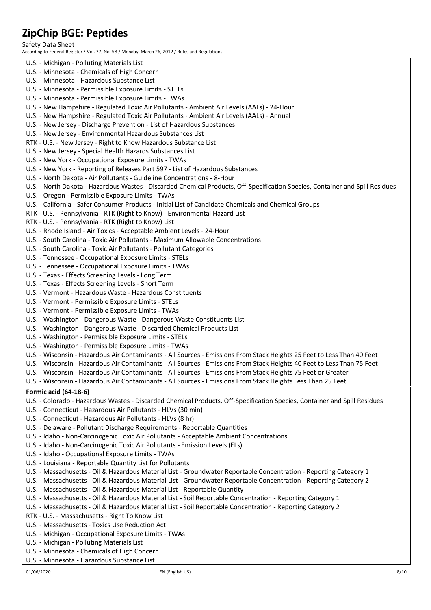Safety Data Sheet

According to Federal Register / Vol. 77, No. 58 / Monday, March 26, 2012 / Rules and Regulations U.S. - Michigan - Polluting Materials List U.S. - Minnesota - Chemicals of High Concern U.S. - Minnesota - Hazardous Substance List U.S. - Minnesota - Permissible Exposure Limits - STELs U.S. - Minnesota - Permissible Exposure Limits - TWAs U.S. - New Hampshire - Regulated Toxic Air Pollutants - Ambient Air Levels (AALs) - 24-Hour U.S. - New Hampshire - Regulated Toxic Air Pollutants - Ambient Air Levels (AALs) - Annual U.S. - New Jersey - Discharge Prevention - List of Hazardous Substances U.S. - New Jersey - Environmental Hazardous Substances List RTK - U.S. - New Jersey - Right to Know Hazardous Substance List U.S. - New Jersey - Special Health Hazards Substances List U.S. - New York - Occupational Exposure Limits - TWAs U.S. - New York - Reporting of Releases Part 597 - List of Hazardous Substances U.S. - North Dakota - Air Pollutants - Guideline Concentrations - 8-Hour U.S. - North Dakota - Hazardous Wastes - Discarded Chemical Products, Off-Specification Species, Container and Spill Residues U.S. - Oregon - Permissible Exposure Limits - TWAs U.S. - California - Safer Consumer Products - Initial List of Candidate Chemicals and Chemical Groups RTK - U.S. - Pennsylvania - RTK (Right to Know) - Environmental Hazard List RTK - U.S. - Pennsylvania - RTK (Right to Know) List U.S. - Rhode Island - Air Toxics - Acceptable Ambient Levels - 24-Hour U.S. - South Carolina - Toxic Air Pollutants - Maximum Allowable Concentrations U.S. - South Carolina - Toxic Air Pollutants - Pollutant Categories U.S. - Tennessee - Occupational Exposure Limits - STELs U.S. - Tennessee - Occupational Exposure Limits - TWAs U.S. - Texas - Effects Screening Levels - Long Term U.S. - Texas - Effects Screening Levels - Short Term U.S. - Vermont - Hazardous Waste - Hazardous Constituents U.S. - Vermont - Permissible Exposure Limits - STELs U.S. - Vermont - Permissible Exposure Limits - TWAs U.S. - Washington - Dangerous Waste - Dangerous Waste Constituents List U.S. - Washington - Dangerous Waste - Discarded Chemical Products List U.S. - Washington - Permissible Exposure Limits - STELs U.S. - Washington - Permissible Exposure Limits - TWAs U.S. - Wisconsin - Hazardous Air Contaminants - All Sources - Emissions From Stack Heights 25 Feet to Less Than 40 Feet U.S. - Wisconsin - Hazardous Air Contaminants - All Sources - Emissions From Stack Heights 40 Feet to Less Than 75 Feet U.S. - Wisconsin - Hazardous Air Contaminants - All Sources - Emissions From Stack Heights 75 Feet or Greater U.S. - Wisconsin - Hazardous Air Contaminants - All Sources - Emissions From Stack Heights Less Than 25 Feet **Formic acid (64-18-6)** U.S. - Colorado - Hazardous Wastes - Discarded Chemical Products, Off-Specification Species, Container and Spill Residues U.S. - Connecticut - Hazardous Air Pollutants - HLVs (30 min) U.S. - Connecticut - Hazardous Air Pollutants - HLVs (8 hr) U.S. - Delaware - Pollutant Discharge Requirements - Reportable Quantities U.S. - Idaho - Non-Carcinogenic Toxic Air Pollutants - Acceptable Ambient Concentrations U.S. - Idaho - Non-Carcinogenic Toxic Air Pollutants - Emission Levels (ELs) U.S. - Idaho - Occupational Exposure Limits - TWAs U.S. - Louisiana - Reportable Quantity List for Pollutants U.S. - Massachusetts - Oil & Hazardous Material List - Groundwater Reportable Concentration - Reporting Category 1 U.S. - Massachusetts - Oil & Hazardous Material List - Groundwater Reportable Concentration - Reporting Category 2 U.S. - Massachusetts - Oil & Hazardous Material List - Reportable Quantity U.S. - Massachusetts - Oil & Hazardous Material List - Soil Reportable Concentration - Reporting Category 1 U.S. - Massachusetts - Oil & Hazardous Material List - Soil Reportable Concentration - Reporting Category 2 RTK - U.S. - Massachusetts - Right To Know List U.S. - Massachusetts - Toxics Use Reduction Act U.S. - Michigan - Occupational Exposure Limits - TWAs U.S. - Michigan - Polluting Materials List U.S. - Minnesota - Chemicals of High Concern U.S. - Minnesota - Hazardous Substance List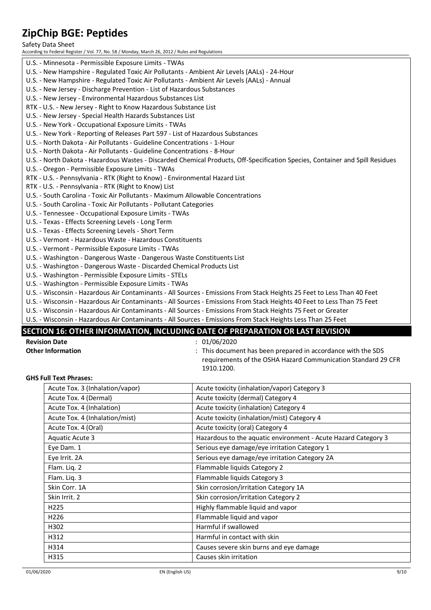Safety Data Sheet

According to Federal Register / Vol. 77, No. 58 / Monday, March 26, 2012 / Rules and Regulations

| U.S. - Minnesota - Permissible Exposure Limits - TWAs                                                                         |
|-------------------------------------------------------------------------------------------------------------------------------|
| U.S. - New Hampshire - Regulated Toxic Air Pollutants - Ambient Air Levels (AALs) - 24-Hour                                   |
| U.S. - New Hampshire - Regulated Toxic Air Pollutants - Ambient Air Levels (AALs) - Annual                                    |
| U.S. - New Jersey - Discharge Prevention - List of Hazardous Substances                                                       |
| U.S. - New Jersey - Environmental Hazardous Substances List                                                                   |
| RTK - U.S. - New Jersey - Right to Know Hazardous Substance List                                                              |
| U.S. - New Jersey - Special Health Hazards Substances List                                                                    |
| U.S. - New York - Occupational Exposure Limits - TWAs                                                                         |
| U.S. - New York - Reporting of Releases Part 597 - List of Hazardous Substances                                               |
| U.S. - North Dakota - Air Pollutants - Guideline Concentrations - 1-Hour                                                      |
| U.S. - North Dakota - Air Pollutants - Guideline Concentrations - 8-Hour                                                      |
| U.S. - North Dakota - Hazardous Wastes - Discarded Chemical Products, Off-Specification Species, Container and Spill Residues |
| U.S. - Oregon - Permissible Exposure Limits - TWAs                                                                            |
| RTK - U.S. - Pennsylvania - RTK (Right to Know) - Environmental Hazard List                                                   |
| RTK - U.S. - Pennsylvania - RTK (Right to Know) List                                                                          |
| U.S. - South Carolina - Toxic Air Pollutants - Maximum Allowable Concentrations                                               |
| U.S. - South Carolina - Toxic Air Pollutants - Pollutant Categories                                                           |
| U.S. - Tennessee - Occupational Exposure Limits - TWAs                                                                        |
| U.S. - Texas - Effects Screening Levels - Long Term                                                                           |
| U.S. - Texas - Effects Screening Levels - Short Term                                                                          |
| U.S. - Vermont - Hazardous Waste - Hazardous Constituents                                                                     |
| U.S. - Vermont - Permissible Exposure Limits - TWAs                                                                           |
| U.S. - Washington - Dangerous Waste - Dangerous Waste Constituents List                                                       |
| U.S. - Washington - Dangerous Waste - Discarded Chemical Products List                                                        |
| U.S. - Washington - Permissible Exposure Limits - STELs                                                                       |
| U.S. - Washington - Permissible Exposure Limits - TWAs                                                                        |
| U.S. - Wisconsin - Hazardous Air Contaminants - All Sources - Emissions From Stack Heights 25 Feet to Less Than 40 Feet       |
| U.S. - Wisconsin - Hazardous Air Contaminants - All Sources - Emissions From Stack Heights 40 Feet to Less Than 75 Feet       |
| U.S. - Wisconsin - Hazardous Air Contaminants - All Sources - Emissions From Stack Heights 75 Feet or Greater                 |
| U.S. - Wisconsin - Hazardous Air Contaminants - All Sources - Emissions From Stack Heights Less Than 25 Feet                  |

## **SECTION 16: OTHER INFORMATION, INCLUDING DATE OF PREPARATION OR LAST REVISION**

- 
- **Revision Date** : 01/06/2020<br> **Other Information** : **11/06/2020**<br>
27 This documents
	- **Other Information** : This document has been prepared in accordance with the SDS requirements of the OSHA Hazard Communication Standard 29 CFR 1910.1200.

#### **GHS Full Text Phrases:**

| Acute Tox. 3 (Inhalation/vapor) | Acute toxicity (inhalation/vapor) Category 3                   |
|---------------------------------|----------------------------------------------------------------|
| Acute Tox. 4 (Dermal)           | Acute toxicity (dermal) Category 4                             |
| Acute Tox. 4 (Inhalation)       | Acute toxicity (inhalation) Category 4                         |
| Acute Tox. 4 (Inhalation/mist)  | Acute toxicity (inhalation/mist) Category 4                    |
| Acute Tox. 4 (Oral)             | Acute toxicity (oral) Category 4                               |
| <b>Aquatic Acute 3</b>          | Hazardous to the aquatic environment - Acute Hazard Category 3 |
| Eye Dam. 1                      | Serious eye damage/eye irritation Category 1                   |
| Eye Irrit. 2A                   | Serious eye damage/eye irritation Category 2A                  |
| Flam. Liq. 2                    | Flammable liquids Category 2                                   |
| Flam. Liq. 3                    | Flammable liquids Category 3                                   |
| Skin Corr. 1A                   | Skin corrosion/irritation Category 1A                          |
| Skin Irrit. 2                   | Skin corrosion/irritation Category 2                           |
| H <sub>225</sub>                | Highly flammable liquid and vapor                              |
| H <sub>226</sub>                | Flammable liquid and vapor                                     |
| H302                            | Harmful if swallowed                                           |
| H312                            | Harmful in contact with skin                                   |
| H314                            | Causes severe skin burns and eye damage                        |
| H315                            | Causes skin irritation                                         |
|                                 |                                                                |